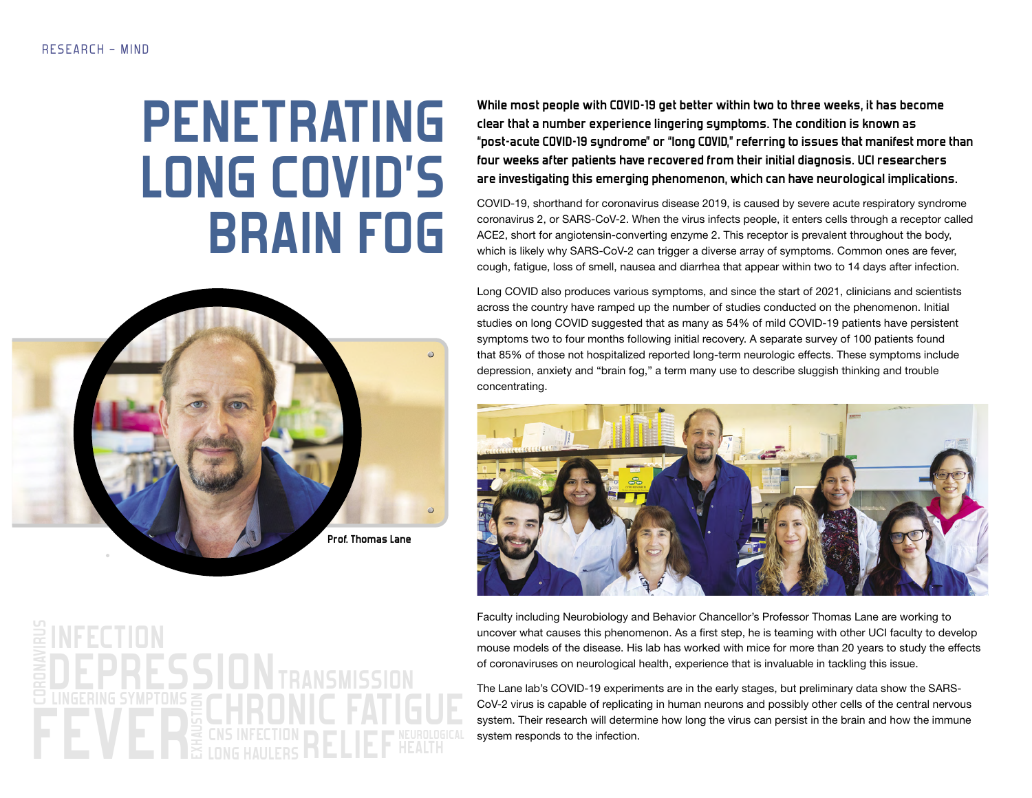## **PENETRATING LONG COVID'S BRAIN FOG**



**While most people with COVID-19 get better within two to three weeks, it has become clear that a number experience lingering symptoms. The condition is known as "post-acute COVID-19 syndrome" or "long COVID," referring to issues that manifest more than four weeks after patients have recovered from their initial diagnosis. UCI researchers are investigating this emerging phenomenon, which can have neurological implications.** 

COVID-19, shorthand for coronavirus disease 2019, is caused by severe acute respiratory syndrome coronavirus 2, or SARS-CoV-2. When the virus infects people, it enters cells through a receptor called ACE2, short for angiotensin-converting enzyme 2. This receptor is prevalent throughout the body, which is likely why SARS-CoV-2 can trigger a diverse array of symptoms. Common ones are fever, cough, fatigue, loss of smell, nausea and diarrhea that appear within two to 14 days after infection.

Long COVID also produces various symptoms, and since the start of 2021, clinicians and scientists across the country have ramped up the number of studies conducted on the phenomenon. Initial studies on long COVID suggested that as many as 54% of mild COVID-19 patients have persistent symptoms two to four months following initial recovery. A separate survey of 100 patients found that 85% of those not hospitalized reported long-term neurologic effects. These symptoms include depression, anxiety and "brain fog," a term many use to describe sluggish thinking and trouble concentrating.



Faculty including Neurobiology and Behavior Chancellor's Professor Thomas Lane are working to uncover what causes this phenomenon. As a first step, he is teaming with other UCI faculty to develop mouse models of the disease. His lab has worked with mice for more than 20 years to study the effects of coronaviruses on neurological health, experience that is invaluable in tackling this issue.

The Lane lab's COVID-19 experiments are in the early stages, but preliminary data show the SARS-CoV-2 virus is capable of replicating in human neurons and possibly other cells of the central nervous system. Their research will determine how long the virus can persist in the brain and how the immune system responds to the infection.

DEPRESSION **EXHAUSTION CRATIGUE**<br>EX CNS INFECTION<br>EX LONG HAULERS RELIEF HEALTH **HEALTH TRANSMISSION LONG HAULERS RELIEF INFECTION CHRONIC FATIGUE**